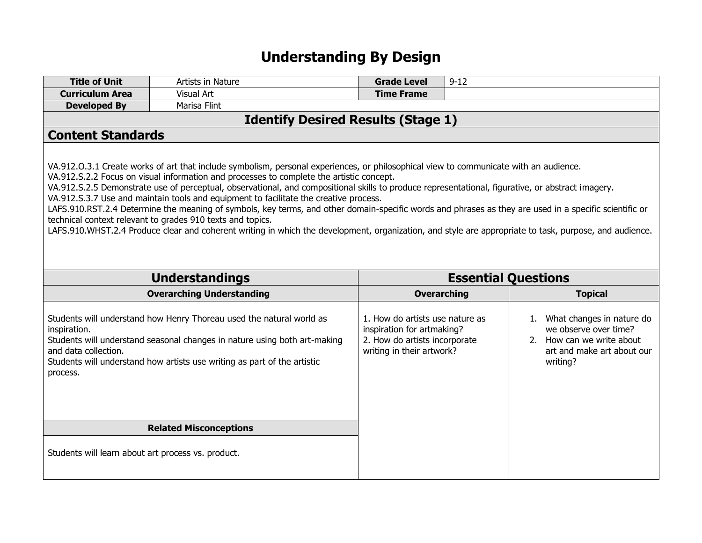## **Understanding By Design**

| <b>Title of Unit</b>                                                                                                                                                                                                                                                                                                                                                                                                                                                                                                                                                                                                                                                                                                                                                                                                                                              | Artists in Nature                                                                                                                                                                                                             | <b>Grade Level</b>                                                                                                          | $9 - 12$ |                                                                                                                              |  |
|-------------------------------------------------------------------------------------------------------------------------------------------------------------------------------------------------------------------------------------------------------------------------------------------------------------------------------------------------------------------------------------------------------------------------------------------------------------------------------------------------------------------------------------------------------------------------------------------------------------------------------------------------------------------------------------------------------------------------------------------------------------------------------------------------------------------------------------------------------------------|-------------------------------------------------------------------------------------------------------------------------------------------------------------------------------------------------------------------------------|-----------------------------------------------------------------------------------------------------------------------------|----------|------------------------------------------------------------------------------------------------------------------------------|--|
| <b>Curriculum Area</b>                                                                                                                                                                                                                                                                                                                                                                                                                                                                                                                                                                                                                                                                                                                                                                                                                                            | Visual Art                                                                                                                                                                                                                    | <b>Time Frame</b>                                                                                                           |          |                                                                                                                              |  |
| <b>Developed By</b>                                                                                                                                                                                                                                                                                                                                                                                                                                                                                                                                                                                                                                                                                                                                                                                                                                               | Marisa Flint                                                                                                                                                                                                                  |                                                                                                                             |          |                                                                                                                              |  |
| <b>Identify Desired Results (Stage 1)</b>                                                                                                                                                                                                                                                                                                                                                                                                                                                                                                                                                                                                                                                                                                                                                                                                                         |                                                                                                                                                                                                                               |                                                                                                                             |          |                                                                                                                              |  |
| <b>Content Standards</b>                                                                                                                                                                                                                                                                                                                                                                                                                                                                                                                                                                                                                                                                                                                                                                                                                                          |                                                                                                                                                                                                                               |                                                                                                                             |          |                                                                                                                              |  |
| VA.912.0.3.1 Create works of art that include symbolism, personal experiences, or philosophical view to communicate with an audience.<br>VA.912.S.2.2 Focus on visual information and processes to complete the artistic concept.<br>VA.912.S.2.5 Demonstrate use of perceptual, observational, and compositional skills to produce representational, figurative, or abstract imagery.<br>VA.912.S.3.7 Use and maintain tools and equipment to facilitate the creative process.<br>LAFS.910.RST.2.4 Determine the meaning of symbols, key terms, and other domain-specific words and phrases as they are used in a specific scientific or<br>technical context relevant to grades 910 texts and topics.<br>LAFS.910.WHST.2.4 Produce clear and coherent writing in which the development, organization, and style are appropriate to task, purpose, and audience. |                                                                                                                                                                                                                               |                                                                                                                             |          |                                                                                                                              |  |
|                                                                                                                                                                                                                                                                                                                                                                                                                                                                                                                                                                                                                                                                                                                                                                                                                                                                   |                                                                                                                                                                                                                               |                                                                                                                             |          |                                                                                                                              |  |
|                                                                                                                                                                                                                                                                                                                                                                                                                                                                                                                                                                                                                                                                                                                                                                                                                                                                   | <b>Understandings</b>                                                                                                                                                                                                         |                                                                                                                             |          | <b>Essential Questions</b>                                                                                                   |  |
|                                                                                                                                                                                                                                                                                                                                                                                                                                                                                                                                                                                                                                                                                                                                                                                                                                                                   | <b>Overarching Understanding</b>                                                                                                                                                                                              | <b>Overarching</b>                                                                                                          |          | <b>Topical</b>                                                                                                               |  |
| inspiration.<br>and data collection.<br>process.                                                                                                                                                                                                                                                                                                                                                                                                                                                                                                                                                                                                                                                                                                                                                                                                                  | Students will understand how Henry Thoreau used the natural world as<br>Students will understand seasonal changes in nature using both art-making<br>Students will understand how artists use writing as part of the artistic | 1. How do artists use nature as<br>inspiration for artmaking?<br>2. How do artists incorporate<br>writing in their artwork? |          | 1. What changes in nature do<br>we observe over time?<br>2. How can we write about<br>art and make art about our<br>writing? |  |
|                                                                                                                                                                                                                                                                                                                                                                                                                                                                                                                                                                                                                                                                                                                                                                                                                                                                   | <b>Related Misconceptions</b>                                                                                                                                                                                                 |                                                                                                                             |          |                                                                                                                              |  |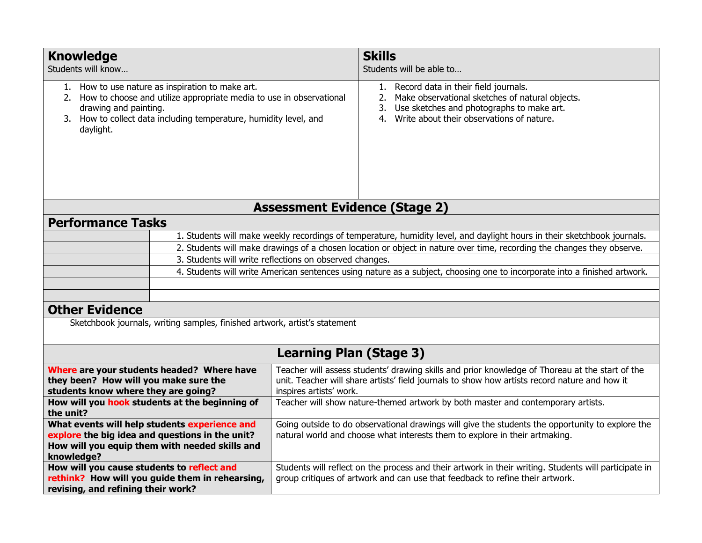| <b>Knowledge</b><br>Students will know                                                                                                                                                                                                   |                                                                                                                                                                                                                             | <b>Skills</b><br>Students will be able to                                                                                                                                                              |  |  |  |
|------------------------------------------------------------------------------------------------------------------------------------------------------------------------------------------------------------------------------------------|-----------------------------------------------------------------------------------------------------------------------------------------------------------------------------------------------------------------------------|--------------------------------------------------------------------------------------------------------------------------------------------------------------------------------------------------------|--|--|--|
|                                                                                                                                                                                                                                          |                                                                                                                                                                                                                             |                                                                                                                                                                                                        |  |  |  |
| 1. How to use nature as inspiration to make art.<br>How to choose and utilize appropriate media to use in observational<br>2.<br>drawing and painting.<br>3. How to collect data including temperature, humidity level, and<br>daylight. |                                                                                                                                                                                                                             | 1. Record data in their field journals.<br>Make observational sketches of natural objects.<br>2.<br>Use sketches and photographs to make art.<br>3.<br>Write about their observations of nature.<br>4. |  |  |  |
| <b>Assessment Evidence (Stage 2)</b>                                                                                                                                                                                                     |                                                                                                                                                                                                                             |                                                                                                                                                                                                        |  |  |  |
| <b>Performance Tasks</b>                                                                                                                                                                                                                 |                                                                                                                                                                                                                             |                                                                                                                                                                                                        |  |  |  |
|                                                                                                                                                                                                                                          |                                                                                                                                                                                                                             | 1. Students will make weekly recordings of temperature, humidity level, and daylight hours in their sketchbook journals.                                                                               |  |  |  |
|                                                                                                                                                                                                                                          |                                                                                                                                                                                                                             | 2. Students will make drawings of a chosen location or object in nature over time, recording the changes they observe.                                                                                 |  |  |  |
| 3. Students will write reflections on observed changes.                                                                                                                                                                                  |                                                                                                                                                                                                                             |                                                                                                                                                                                                        |  |  |  |
|                                                                                                                                                                                                                                          |                                                                                                                                                                                                                             | 4. Students will write American sentences using nature as a subject, choosing one to incorporate into a finished artwork.                                                                              |  |  |  |
|                                                                                                                                                                                                                                          |                                                                                                                                                                                                                             |                                                                                                                                                                                                        |  |  |  |
|                                                                                                                                                                                                                                          |                                                                                                                                                                                                                             |                                                                                                                                                                                                        |  |  |  |
| <b>Other Evidence</b>                                                                                                                                                                                                                    |                                                                                                                                                                                                                             |                                                                                                                                                                                                        |  |  |  |
| Sketchbook journals, writing samples, finished artwork, artist's statement                                                                                                                                                               |                                                                                                                                                                                                                             |                                                                                                                                                                                                        |  |  |  |
| <b>Learning Plan (Stage 3)</b>                                                                                                                                                                                                           |                                                                                                                                                                                                                             |                                                                                                                                                                                                        |  |  |  |
| Where are your students headed? Where have<br>they been? How will you make sure the<br>students know where they are going?                                                                                                               | Teacher will assess students' drawing skills and prior knowledge of Thoreau at the start of the<br>unit. Teacher will share artists' field journals to show how artists record nature and how it<br>inspires artists' work. |                                                                                                                                                                                                        |  |  |  |
| How will you hook students at the beginning of<br>the unit?                                                                                                                                                                              |                                                                                                                                                                                                                             | Teacher will show nature-themed artwork by both master and contemporary artists.                                                                                                                       |  |  |  |
| What events will help students experience and<br>explore the big idea and questions in the unit?<br>How will you equip them with needed skills and<br>knowledge?                                                                         |                                                                                                                                                                                                                             | Going outside to do observational drawings will give the students the opportunity to explore the<br>natural world and choose what interests them to explore in their artmaking.                        |  |  |  |
| How will you cause students to reflect and<br>rethink? How will you guide them in rehearsing,<br>revising, and refining their work?                                                                                                      |                                                                                                                                                                                                                             | Students will reflect on the process and their artwork in their writing. Students will participate in<br>group critiques of artwork and can use that feedback to refine their artwork.                 |  |  |  |